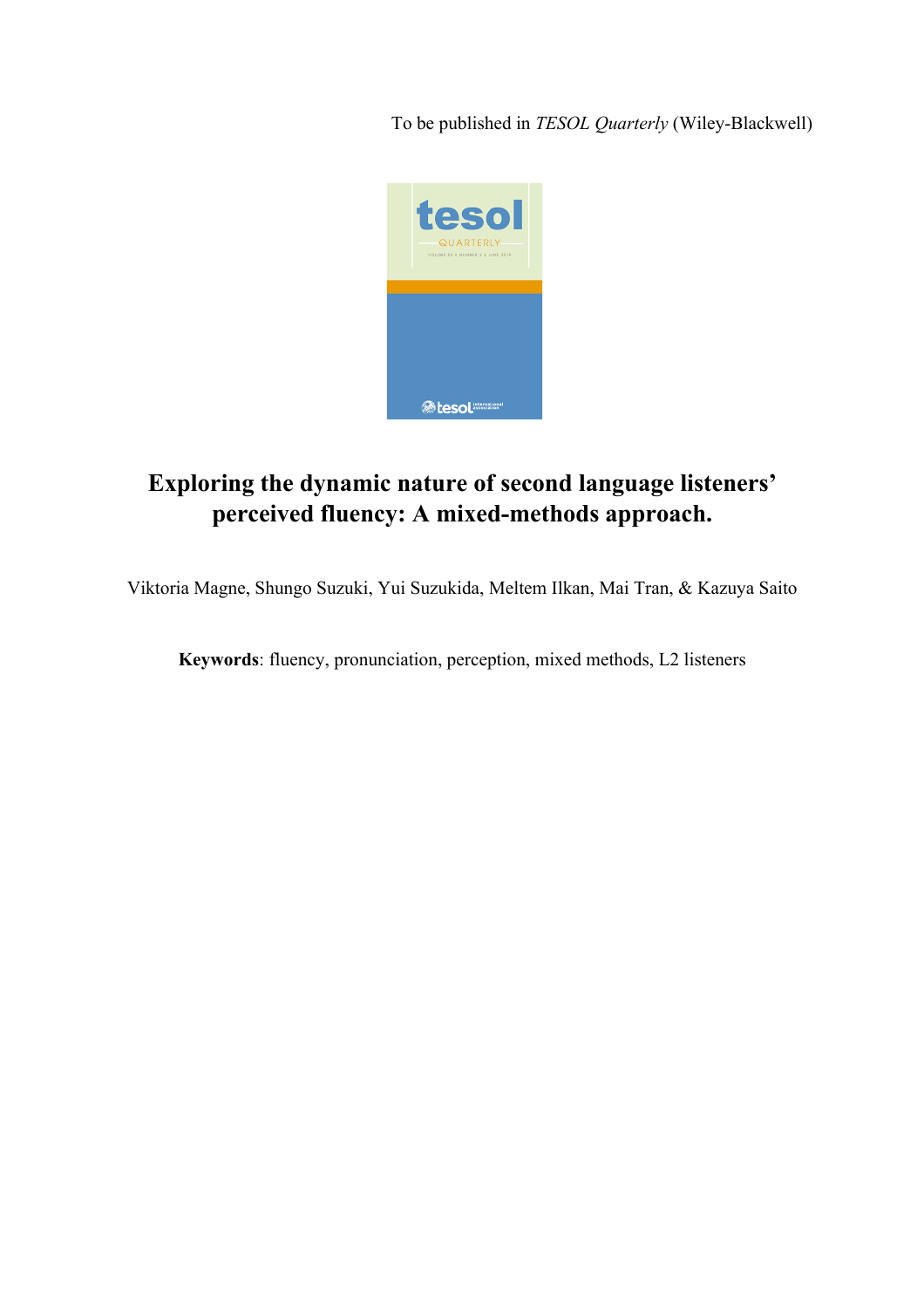To be published in *TESOL Quarterly* (Wiley-Blackwell)



# **Exploring the dynamic nature of second language listeners' perceived fluency: A mixed-methods approach.**

Viktoria Magne, Shungo Suzuki, Yui Suzukida, Meltem Ilkan, Mai Tran, & Kazuya Saito

**Keywords**: fluency, pronunciation, perception, mixed methods, L2 listeners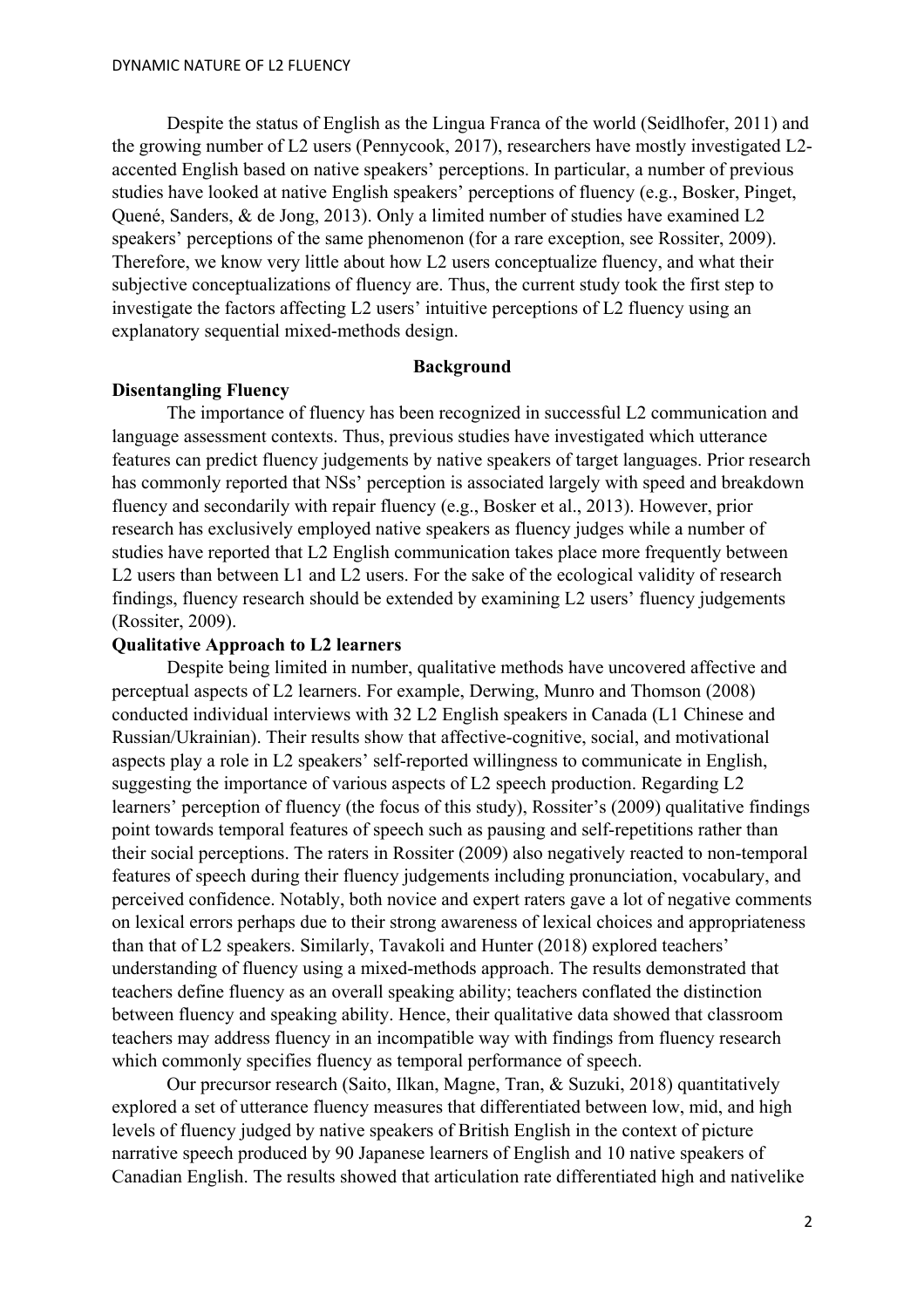Despite the status of English as the Lingua Franca of the world (Seidlhofer, 2011) and the growing number of L2 users (Pennycook, 2017), researchers have mostly investigated L2 accented English based on native speakers' perceptions. In particular, a number of previous studies have looked at native English speakers' perceptions of fluency (e.g., Bosker, Pinget, Quené, Sanders, & de Jong, 2013). Only a limited number of studies have examined L2 speakers' perceptions of the same phenomenon (for a rare exception, see Rossiter, 2009). Therefore, we know very little about how L2 users conceptualize fluency, and what their subjective conceptualizations of fluency are. Thus, the current study took the first step to investigate the factors affecting L2 users' intuitive perceptions of L2 fluency using an explanatory sequential mixed-methods design.

## **Background**

## **Disentangling Fluency**

The importance of fluency has been recognized in successful L2 communication and language assessment contexts. Thus, previous studies have investigated which utterance features can predict fluency judgements by native speakers of target languages. Prior research has commonly reported that NSs' perception is associated largely with speed and breakdown fluency and secondarily with repair fluency (e.g., Bosker et al., 2013). However, prior research has exclusively employed native speakers as fluency judges while a number of studies have reported that L2 English communication takes place more frequently between L<sub>2</sub> users than between L<sub>1</sub> and L<sub>2</sub> users. For the sake of the ecological validity of research findings, fluency research should be extended by examining L2 users' fluency judgements (Rossiter, 2009).

## **Qualitative Approach to L2 learners**

Despite being limited in number, qualitative methods have uncovered affective and perceptual aspects of L2 learners. For example, Derwing, Munro and Thomson (2008) conducted individual interviews with 32 L2 English speakers in Canada (L1 Chinese and Russian/Ukrainian). Their results show that affective-cognitive, social, and motivational aspects play a role in L2 speakers' self-reported willingness to communicate in English, suggesting the importance of various aspects of L2 speech production. Regarding L2 learners' perception of fluency (the focus of this study), Rossiter's (2009) qualitative findings point towards temporal features of speech such as pausing and self-repetitions rather than their social perceptions. The raters in Rossiter (2009) also negatively reacted to non-temporal features of speech during their fluency judgements including pronunciation, vocabulary, and perceived confidence. Notably, both novice and expert raters gave a lot of negative comments on lexical errors perhaps due to their strong awareness of lexical choices and appropriateness than that of L2 speakers. Similarly, Tavakoli and Hunter (2018) explored teachers' understanding of fluency using a mixed-methods approach. The results demonstrated that teachers define fluency as an overall speaking ability; teachers conflated the distinction between fluency and speaking ability. Hence, their qualitative data showed that classroom teachers may address fluency in an incompatible way with findings from fluency research which commonly specifies fluency as temporal performance of speech.

Our precursor research (Saito, Ilkan, Magne, Tran, & Suzuki, 2018) quantitatively explored a set of utterance fluency measures that differentiated between low, mid, and high levels of fluency judged by native speakers of British English in the context of picture narrative speech produced by 90 Japanese learners of English and 10 native speakers of Canadian English. The results showed that articulation rate differentiated high and nativelike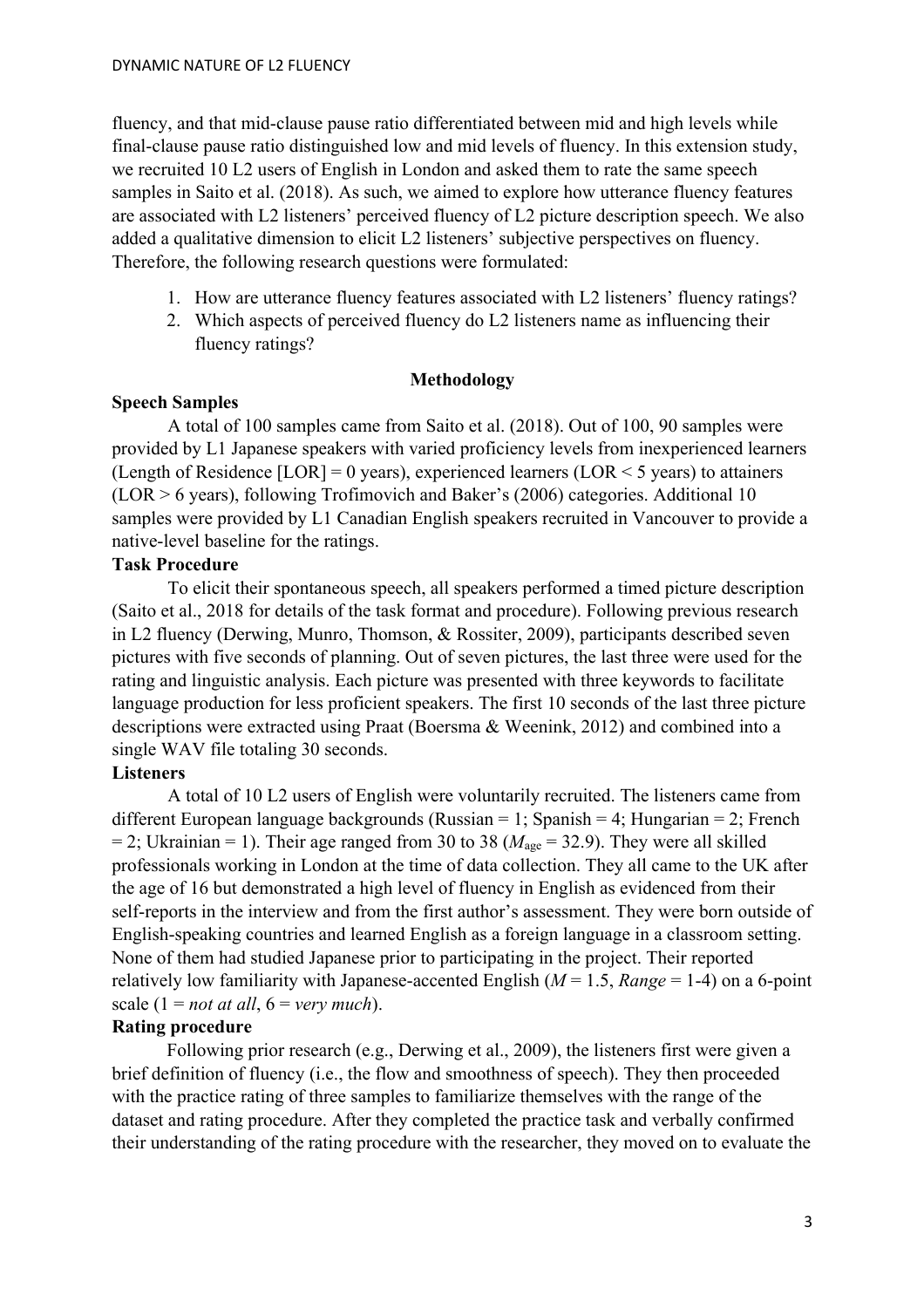fluency, and that mid-clause pause ratio differentiated between mid and high levels while final-clause pause ratio distinguished low and mid levels of fluency. In this extension study, we recruited 10 L2 users of English in London and asked them to rate the same speech samples in Saito et al. (2018). As such, we aimed to explore how utterance fluency features are associated with L2 listeners' perceived fluency of L2 picture description speech. We also added a qualitative dimension to elicit L2 listeners' subjective perspectives on fluency. Therefore, the following research questions were formulated:

- 1. How are utterance fluency features associated with L2 listeners' fluency ratings?
- 2. Which aspects of perceived fluency do L2 listeners name as influencing their fluency ratings?

## **Methodology**

## **Speech Samples**

A total of 100 samples came from Saito et al. (2018). Out of 100, 90 samples were provided by L1 Japanese speakers with varied proficiency levels from inexperienced learners (Length of Residence  $[LOR] = 0$  years), experienced learners (LOR  $\leq$  5 years) to attainers (LOR > 6 years), following Trofimovich and Baker's (2006) categories. Additional 10 samples were provided by L1 Canadian English speakers recruited in Vancouver to provide a native-level baseline for the ratings.

# **Task Procedure**

To elicit their spontaneous speech, all speakers performed a timed picture description (Saito et al., 2018 for details of the task format and procedure). Following previous research in L2 fluency (Derwing, Munro, Thomson, & Rossiter, 2009), participants described seven pictures with five seconds of planning. Out of seven pictures, the last three were used for the rating and linguistic analysis. Each picture was presented with three keywords to facilitate language production for less proficient speakers. The first 10 seconds of the last three picture descriptions were extracted using Praat (Boersma & Weenink, 2012) and combined into a single WAV file totaling 30 seconds.

## **Listeners**

A total of 10 L2 users of English were voluntarily recruited. The listeners came from different European language backgrounds (Russian = 1; Spanish = 4; Hungarian = 2; French  $= 2$ ; Ukrainian  $= 1$ ). Their age ranged from 30 to 38 ( $M<sub>age</sub> = 32.9$ ). They were all skilled professionals working in London at the time of data collection. They all came to the UK after the age of 16 but demonstrated a high level of fluency in English as evidenced from their self-reports in the interview and from the first author's assessment. They were born outside of English-speaking countries and learned English as a foreign language in a classroom setting. None of them had studied Japanese prior to participating in the project. Their reported relatively low familiarity with Japanese-accented English (*M* = 1.5, *Range* = 1-4) on a 6-point scale  $(1 = not at all, 6 = very much).$ 

# **Rating procedure**

Following prior research (e.g., Derwing et al., 2009), the listeners first were given a brief definition of fluency (i.e., the flow and smoothness of speech). They then proceeded with the practice rating of three samples to familiarize themselves with the range of the dataset and rating procedure. After they completed the practice task and verbally confirmed their understanding of the rating procedure with the researcher, they moved on to evaluate the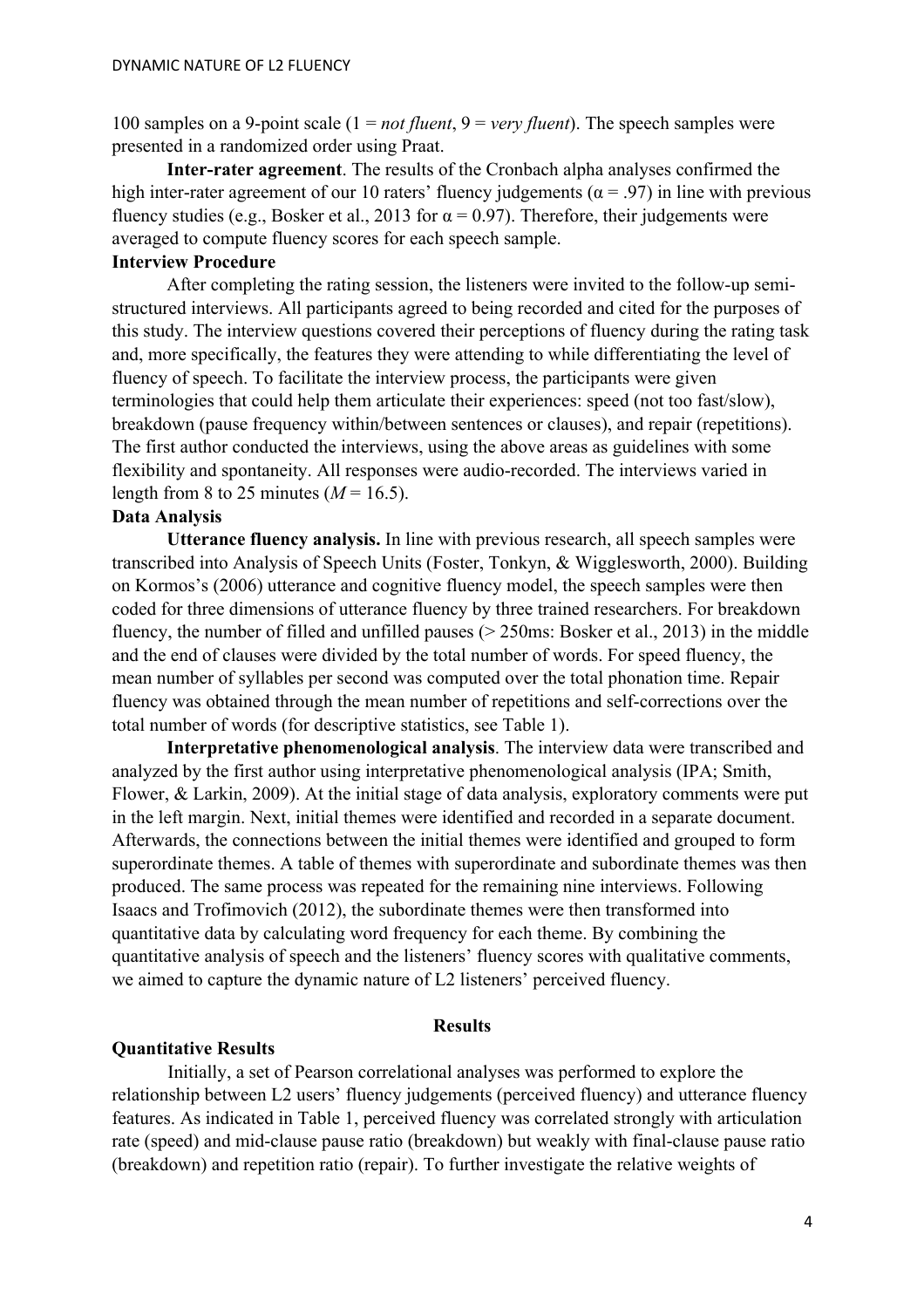100 samples on a 9-point scale (1 = *not fluent*, 9 = *very fluent*). The speech samples were presented in a randomized order using Praat.

**Inter-rater agreement**. The results of the Cronbach alpha analyses confirmed the high inter-rater agreement of our 10 raters' fluency judgements ( $\alpha$  = .97) in line with previous fluency studies (e.g., Bosker et al., 2013 for  $\alpha = 0.97$ ). Therefore, their judgements were averaged to compute fluency scores for each speech sample.

#### **Interview Procedure**

After completing the rating session, the listeners were invited to the follow-up semistructured interviews. All participants agreed to being recorded and cited for the purposes of this study. The interview questions covered their perceptions of fluency during the rating task and, more specifically, the features they were attending to while differentiating the level of fluency of speech. To facilitate the interview process, the participants were given terminologies that could help them articulate their experiences: speed (not too fast/slow), breakdown (pause frequency within/between sentences or clauses), and repair (repetitions). The first author conducted the interviews, using the above areas as guidelines with some flexibility and spontaneity. All responses were audio-recorded. The interviews varied in length from 8 to 25 minutes  $(M = 16.5)$ .

## **Data Analysis**

**Utterance fluency analysis.** In line with previous research, all speech samples were transcribed into Analysis of Speech Units (Foster, Tonkyn, & Wigglesworth, 2000). Building on Kormos's (2006) utterance and cognitive fluency model, the speech samples were then coded for three dimensions of utterance fluency by three trained researchers. For breakdown fluency, the number of filled and unfilled pauses ( $>$  250ms: Bosker et al., 2013) in the middle and the end of clauses were divided by the total number of words. For speed fluency, the mean number of syllables per second was computed over the total phonation time. Repair fluency was obtained through the mean number of repetitions and self-corrections over the total number of words (for descriptive statistics, see Table 1).

**Interpretative phenomenological analysis**. The interview data were transcribed and analyzed by the first author using interpretative phenomenological analysis (IPA; Smith, Flower, & Larkin, 2009). At the initial stage of data analysis, exploratory comments were put in the left margin. Next, initial themes were identified and recorded in a separate document. Afterwards, the connections between the initial themes were identified and grouped to form superordinate themes. A table of themes with superordinate and subordinate themes was then produced. The same process was repeated for the remaining nine interviews. Following Isaacs and Trofimovich (2012), the subordinate themes were then transformed into quantitative data by calculating word frequency for each theme. By combining the quantitative analysis of speech and the listeners' fluency scores with qualitative comments, we aimed to capture the dynamic nature of L2 listeners' perceived fluency.

#### **Results**

## **Quantitative Results**

Initially, a set of Pearson correlational analyses was performed to explore the relationship between L2 users' fluency judgements (perceived fluency) and utterance fluency features. As indicated in Table 1, perceived fluency was correlated strongly with articulation rate (speed) and mid-clause pause ratio (breakdown) but weakly with final-clause pause ratio (breakdown) and repetition ratio (repair). To further investigate the relative weights of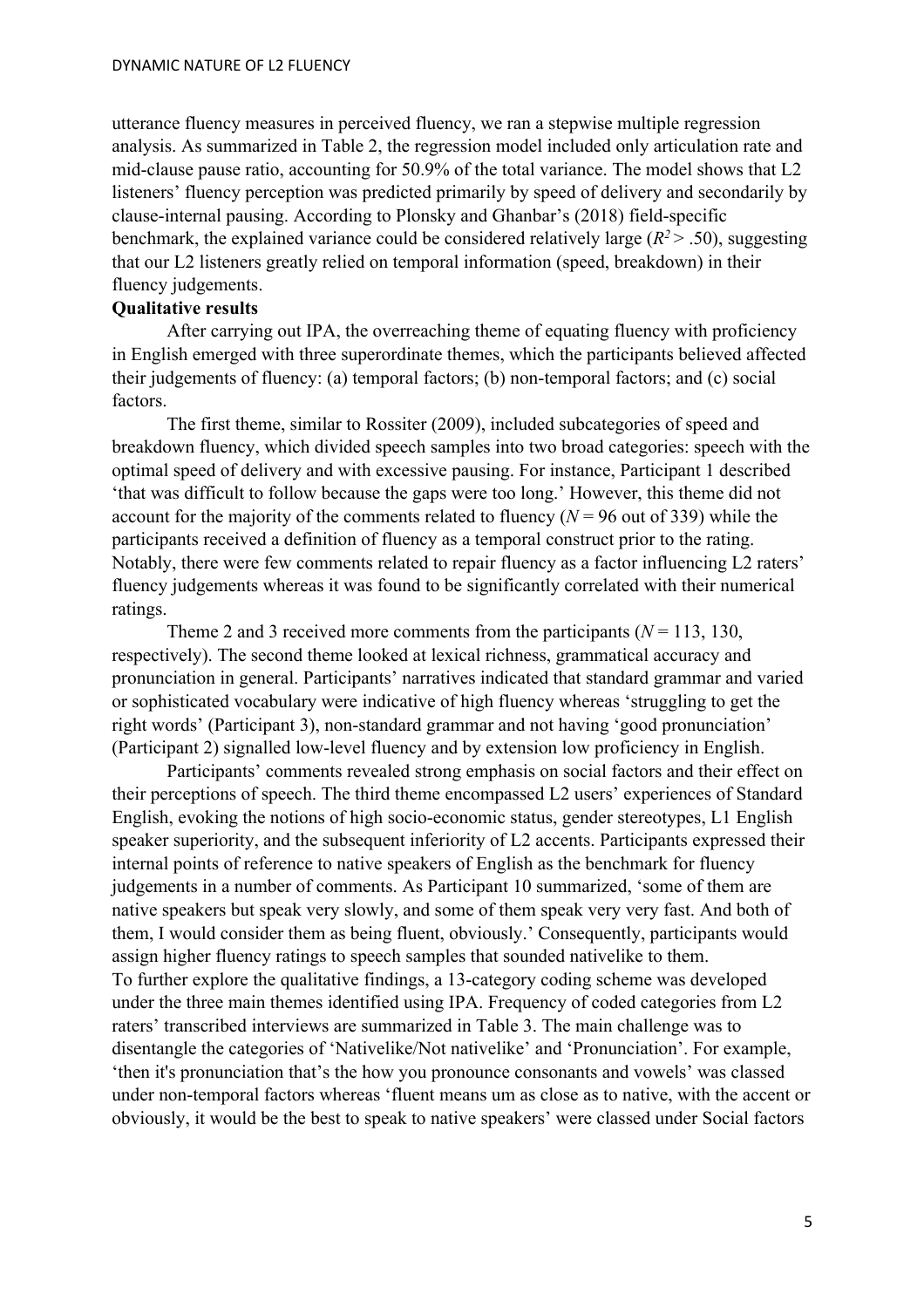utterance fluency measures in perceived fluency, we ran a stepwise multiple regression analysis. As summarized in Table 2, the regression model included only articulation rate and mid-clause pause ratio, accounting for 50.9% of the total variance. The model shows that L2 listeners' fluency perception was predicted primarily by speed of delivery and secondarily by clause-internal pausing. According to Plonsky and Ghanbar's (2018) field-specific benchmark, the explained variance could be considered relatively large  $(R^2 > .50)$ , suggesting that our L2 listeners greatly relied on temporal information (speed, breakdown) in their fluency judgements.

## **Qualitative results**

After carrying out IPA, the overreaching theme of equating fluency with proficiency in English emerged with three superordinate themes, which the participants believed affected their judgements of fluency: (a) temporal factors; (b) non-temporal factors; and (c) social factors.

The first theme, similar to Rossiter (2009), included subcategories of speed and breakdown fluency, which divided speech samples into two broad categories: speech with the optimal speed of delivery and with excessive pausing. For instance, Participant 1 described 'that was difficult to follow because the gaps were too long.' However, this theme did not account for the majority of the comments related to fluency ( $N = 96$  out of 339) while the participants received a definition of fluency as a temporal construct prior to the rating. Notably, there were few comments related to repair fluency as a factor influencing L2 raters' fluency judgements whereas it was found to be significantly correlated with their numerical ratings.

Theme 2 and 3 received more comments from the participants  $(N = 113, 130,$ respectively). The second theme looked at lexical richness, grammatical accuracy and pronunciation in general. Participants' narratives indicated that standard grammar and varied or sophisticated vocabulary were indicative of high fluency whereas 'struggling to get the right words' (Participant 3), non-standard grammar and not having 'good pronunciation' (Participant 2) signalled low-level fluency and by extension low proficiency in English.

Participants' comments revealed strong emphasis on social factors and their effect on their perceptions of speech. The third theme encompassed L2 users' experiences of Standard English, evoking the notions of high socio-economic status, gender stereotypes, L1 English speaker superiority, and the subsequent inferiority of L2 accents. Participants expressed their internal points of reference to native speakers of English as the benchmark for fluency judgements in a number of comments. As Participant 10 summarized, 'some of them are native speakers but speak very slowly, and some of them speak very very fast. And both of them, I would consider them as being fluent, obviously.' Consequently, participants would assign higher fluency ratings to speech samples that sounded nativelike to them. To further explore the qualitative findings, a 13-category coding scheme was developed under the three main themes identified using IPA. Frequency of coded categories from L2 raters' transcribed interviews are summarized in Table 3. The main challenge was to disentangle the categories of 'Nativelike/Not nativelike' and 'Pronunciation'. For example, 'then it's pronunciation that's the how you pronounce consonants and vowels' was classed under non-temporal factors whereas 'fluent means um as close as to native, with the accent or obviously, it would be the best to speak to native speakers' were classed under Social factors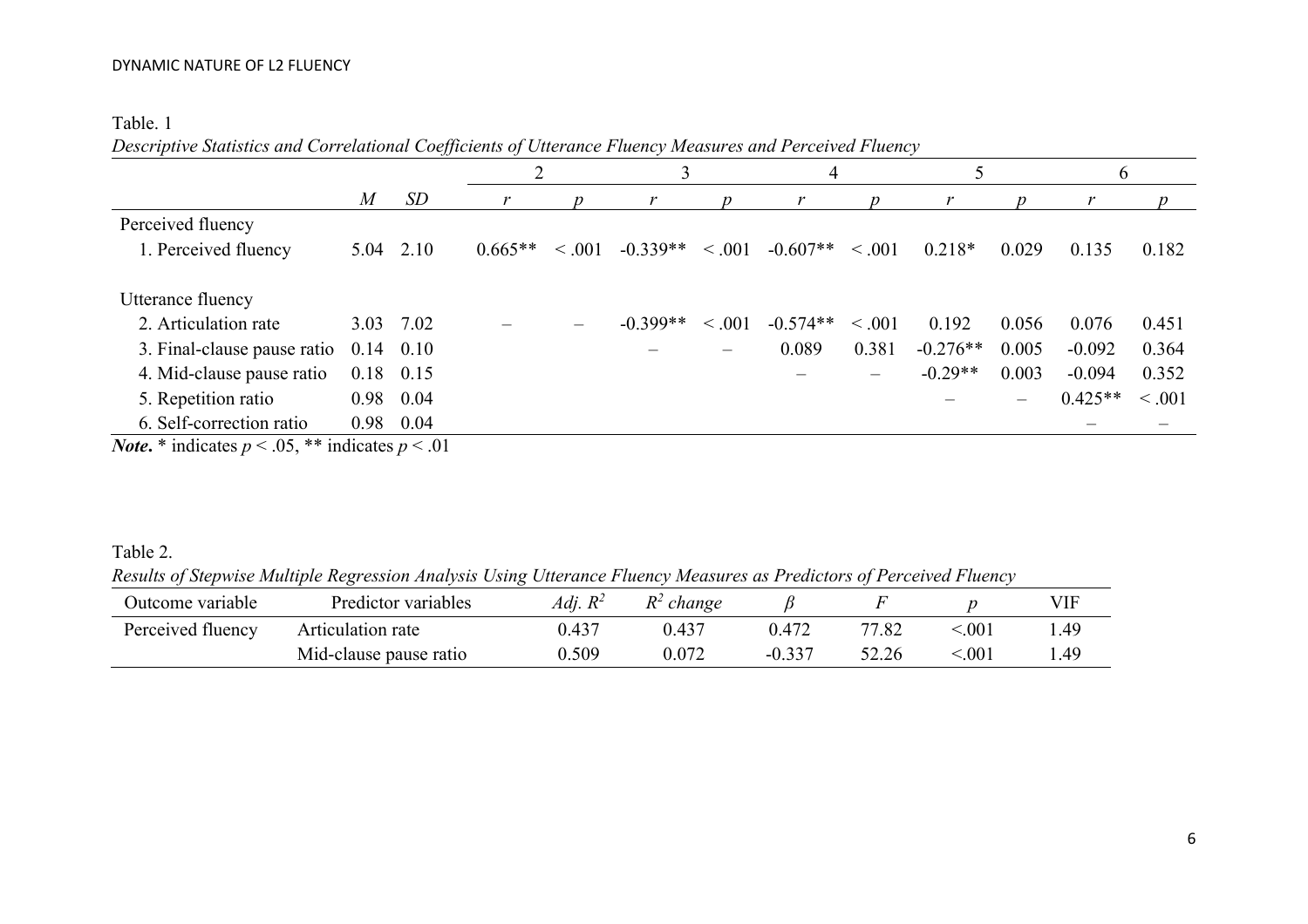#### DYNAMIC NATURE OF L2 FLUENCY

## Table. 1

2 3 4 5 6 *M SD r p r p r p r p r p* Perceived fluency 1. Perceived fluency 5.04 2.10 0.665\*\* < .001 -0.339\*\* < .001 -0.607\*\* < .001 0.218\* 0.029 0.135 0.182 Utterance fluency 2. Articulation rate 3.03 7.02 – – -0.399\*\* < .001 -0.574\*\* < .001 0.192 0.056 0.076 0.451 3. Final-clause pause ratio 0.14 0.10 – – 0.089 0.381 -0.276\*\* 0.005 -0.092 0.364 4. Mid-clause pause ratio 0.18 0.15 – – – – – – – – – – – – – – – – – – 0.003 – – – – 0.094 0.352 5. Repetition ratio 0.98 0.04 – – 0.425\*\* < .001 6. Self-correction ratio  $0.98 \t0.04$  – –

*Descriptive Statistics and Correlational Coefficients of Utterance Fluency Measures and Perceived Fluency*

*Note*.  $*$  indicates  $p < .05$ ,  $**$  indicates  $p < .01$ 

#### Table 2.

*Results of Stepwise Multiple Regression Analysis Using Utterance Fluency Measures as Predictors of Perceived Fluency*

| Outcome variable  | Predictor variables    | Adj. $R^2$ | $R^2$ change |       |       |          | <b>VIF</b> |
|-------------------|------------------------|------------|--------------|-------|-------|----------|------------|
| Perceived fluency | Articulation rate      | 0.437      | 0.437        | 0.472 | 77.82 | .001     | 49. ا      |
|                   | Mid-clause pause ratio | 0.509      | 0.072        |       | 52.26 | $.001\,$ | 49. ،      |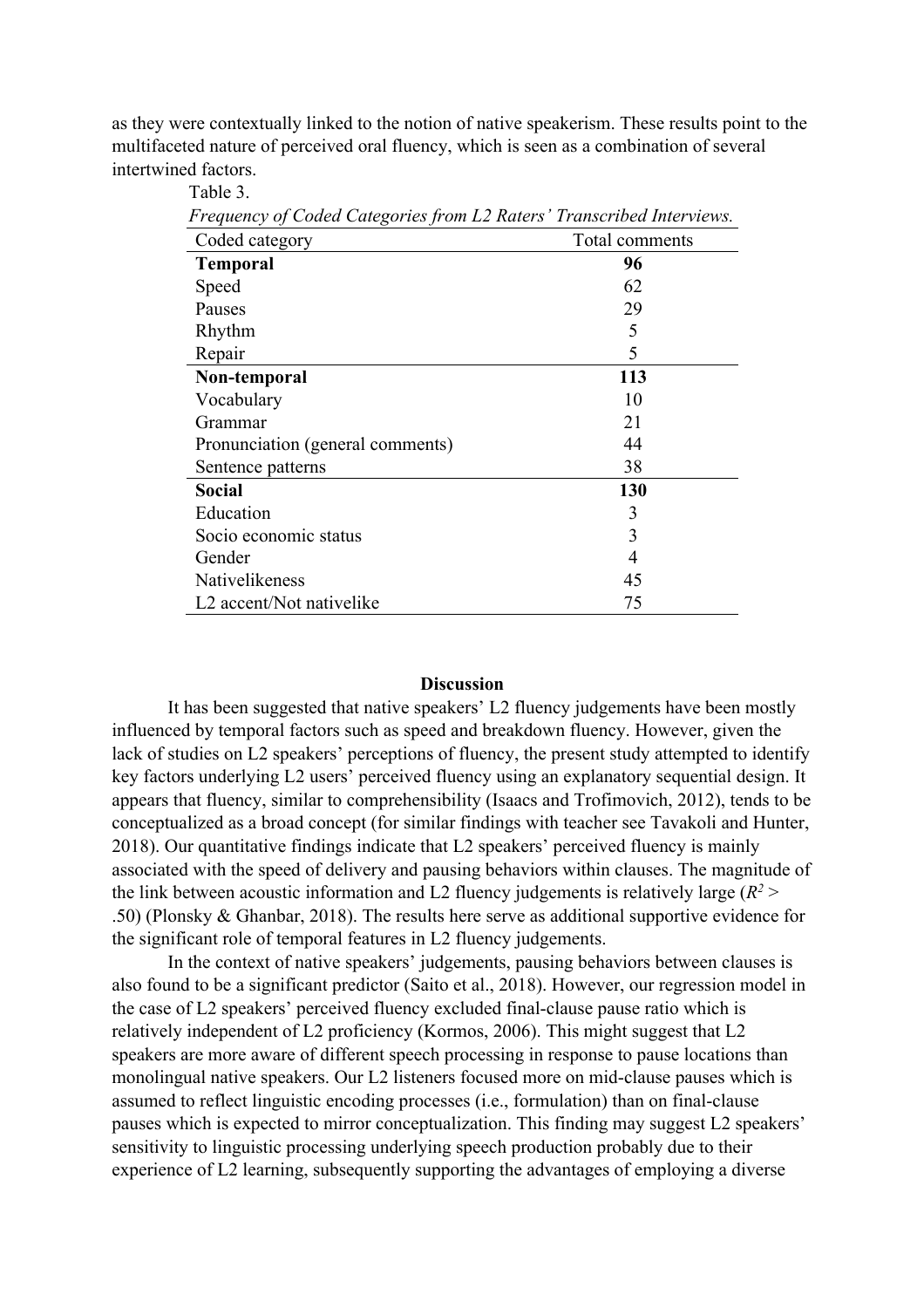as they were contextually linked to the notion of native speakerism. These results point to the multifaceted nature of perceived oral fluency, which is seen as a combination of several intertwined factors.

| Frequency of Coded Categories from L2 Raters' Transcribed Interviews. |                |  |  |  |
|-----------------------------------------------------------------------|----------------|--|--|--|
| Coded category                                                        | Total comments |  |  |  |
| <b>Temporal</b>                                                       | 96             |  |  |  |
| Speed                                                                 | 62             |  |  |  |
| Pauses                                                                | 29             |  |  |  |
| Rhythm                                                                | 5              |  |  |  |
| Repair                                                                | 5              |  |  |  |
| Non-temporal                                                          | 113            |  |  |  |
| Vocabulary                                                            | 10             |  |  |  |
| Grammar                                                               | 21             |  |  |  |
| Pronunciation (general comments)                                      | 44             |  |  |  |
| Sentence patterns                                                     | 38             |  |  |  |
| <b>Social</b>                                                         | 130            |  |  |  |
| Education                                                             | 3              |  |  |  |
| Socio economic status                                                 | 3              |  |  |  |
| Gender                                                                | 4              |  |  |  |
| Nativelikeness                                                        | 45             |  |  |  |
| L2 accent/Not nativelike                                              | 75             |  |  |  |

*Frequency of Coded Categories from L2 Raters' Transcribed Interviews.*

Table 3.

#### **Discussion**

It has been suggested that native speakers' L2 fluency judgements have been mostly influenced by temporal factors such as speed and breakdown fluency. However, given the lack of studies on L2 speakers' perceptions of fluency, the present study attempted to identify key factors underlying L2 users' perceived fluency using an explanatory sequential design. It appears that fluency, similar to comprehensibility (Isaacs and Trofimovich, 2012), tends to be conceptualized as a broad concept (for similar findings with teacher see Tavakoli and Hunter, 2018). Our quantitative findings indicate that L2 speakers' perceived fluency is mainly associated with the speed of delivery and pausing behaviors within clauses. The magnitude of the link between acoustic information and L2 fluency judgements is relatively large  $(R^2 >$ .50) (Plonsky & Ghanbar, 2018). The results here serve as additional supportive evidence for the significant role of temporal features in L2 fluency judgements.

In the context of native speakers' judgements, pausing behaviors between clauses is also found to be a significant predictor (Saito et al., 2018). However, our regression model in the case of L2 speakers' perceived fluency excluded final-clause pause ratio which is relatively independent of L2 proficiency (Kormos, 2006). This might suggest that L2 speakers are more aware of different speech processing in response to pause locations than monolingual native speakers. Our L2 listeners focused more on mid-clause pauses which is assumed to reflect linguistic encoding processes (i.e., formulation) than on final-clause pauses which is expected to mirror conceptualization. This finding may suggest L2 speakers' sensitivity to linguistic processing underlying speech production probably due to their experience of L2 learning, subsequently supporting the advantages of employing a diverse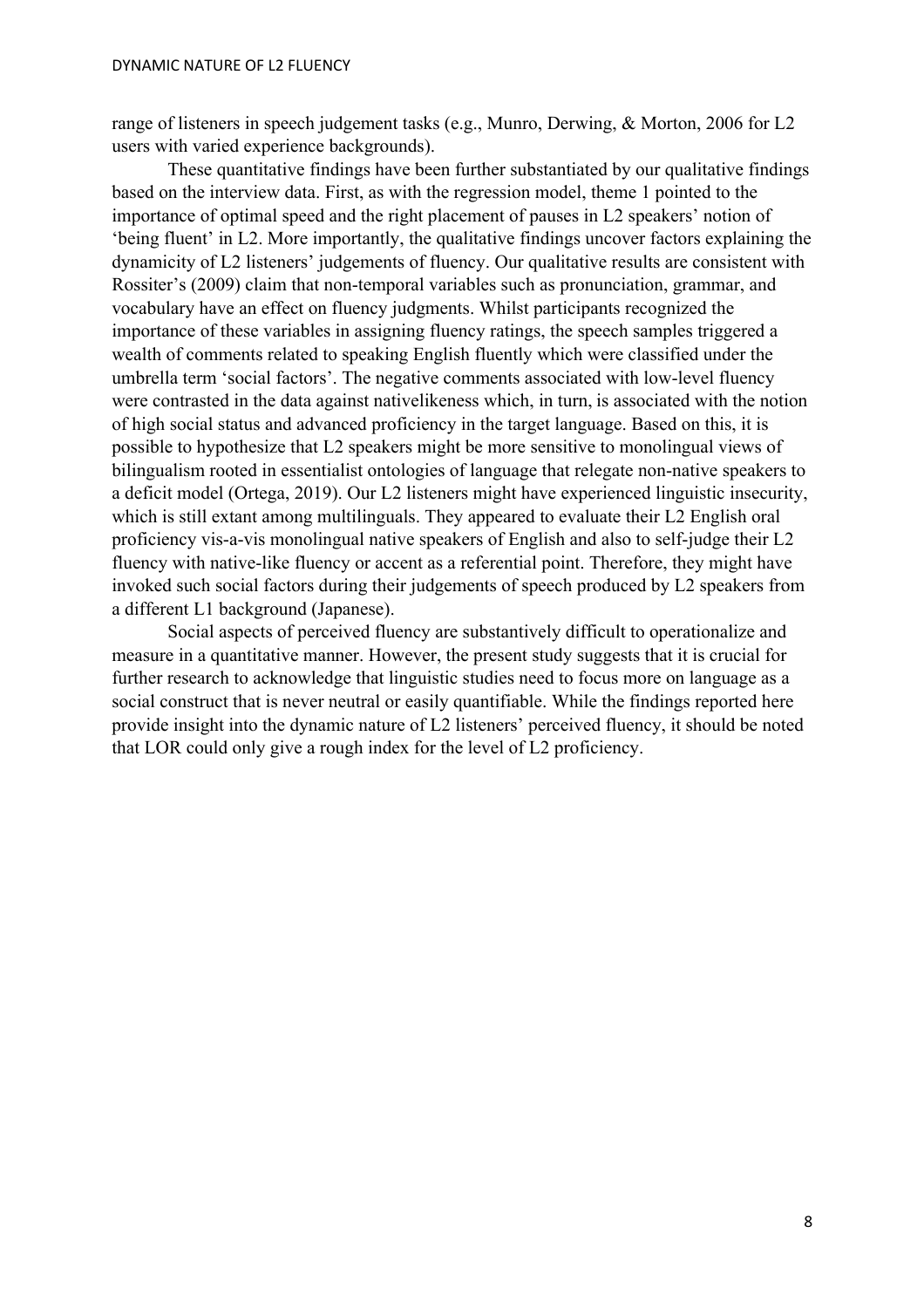range of listeners in speech judgement tasks (e.g., Munro, Derwing, & Morton, 2006 for L2 users with varied experience backgrounds).

These quantitative findings have been further substantiated by our qualitative findings based on the interview data. First, as with the regression model, theme 1 pointed to the importance of optimal speed and the right placement of pauses in L2 speakers' notion of 'being fluent' in L2. More importantly, the qualitative findings uncover factors explaining the dynamicity of L2 listeners' judgements of fluency. Our qualitative results are consistent with Rossiter's (2009) claim that non-temporal variables such as pronunciation, grammar, and vocabulary have an effect on fluency judgments. Whilst participants recognized the importance of these variables in assigning fluency ratings, the speech samples triggered a wealth of comments related to speaking English fluently which were classified under the umbrella term 'social factors'. The negative comments associated with low-level fluency were contrasted in the data against nativelikeness which, in turn, is associated with the notion of high social status and advanced proficiency in the target language. Based on this, it is possible to hypothesize that L2 speakers might be more sensitive to monolingual views of bilingualism rooted in essentialist ontologies of language that relegate non-native speakers to a deficit model (Ortega, 2019). Our L2 listeners might have experienced linguistic insecurity, which is still extant among multilinguals. They appeared to evaluate their L2 English oral proficiency vis-a-vis monolingual native speakers of English and also to self-judge their L2 fluency with native-like fluency or accent as a referential point. Therefore, they might have invoked such social factors during their judgements of speech produced by L2 speakers from a different L1 background (Japanese).

Social aspects of perceived fluency are substantively difficult to operationalize and measure in a quantitative manner. However, the present study suggests that it is crucial for further research to acknowledge that linguistic studies need to focus more on language as a social construct that is never neutral or easily quantifiable. While the findings reported here provide insight into the dynamic nature of L2 listeners' perceived fluency, it should be noted that LOR could only give a rough index for the level of L2 proficiency.